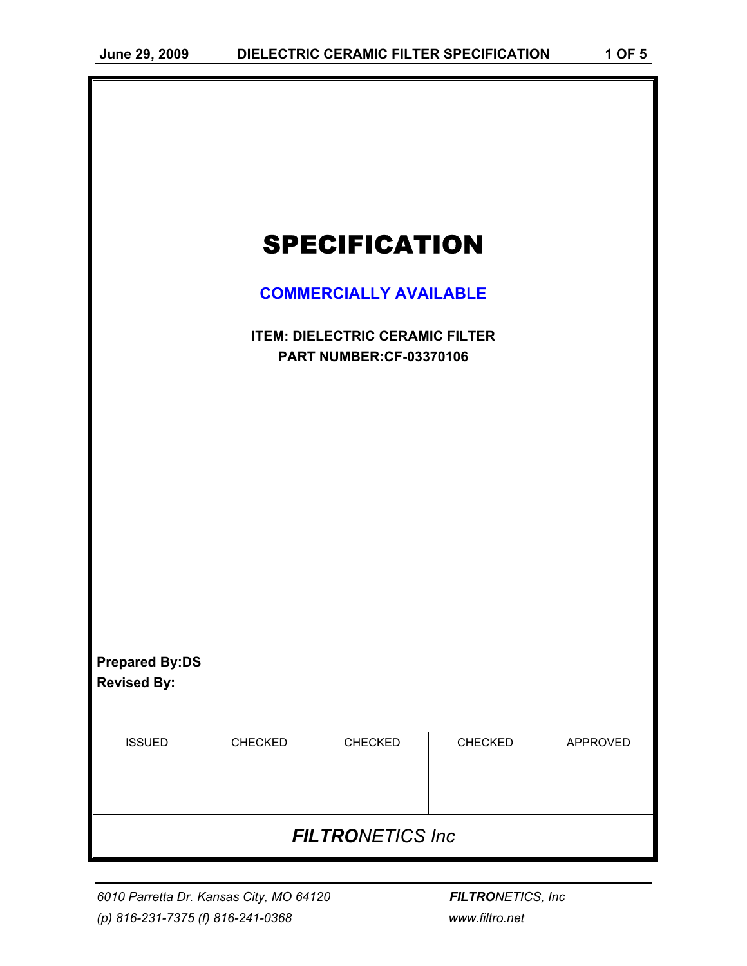| <b>SPECIFICATION</b>                                                     |         |         |         |          |  |  |  |  |
|--------------------------------------------------------------------------|---------|---------|---------|----------|--|--|--|--|
| <b>COMMERCIALLY AVAILABLE</b>                                            |         |         |         |          |  |  |  |  |
| <b>ITEM: DIELECTRIC CERAMIC FILTER</b><br><b>PART NUMBER:CF-03370106</b> |         |         |         |          |  |  |  |  |
|                                                                          |         |         |         |          |  |  |  |  |
|                                                                          |         |         |         |          |  |  |  |  |
|                                                                          |         |         |         |          |  |  |  |  |
|                                                                          |         |         |         |          |  |  |  |  |
|                                                                          |         |         |         |          |  |  |  |  |
|                                                                          |         |         |         |          |  |  |  |  |
| <b>Prepared By:DS</b><br><b>Revised By:</b>                              |         |         |         |          |  |  |  |  |
|                                                                          |         |         |         |          |  |  |  |  |
| <b>ISSUED</b>                                                            | CHECKED | CHECKED | CHECKED | APPROVED |  |  |  |  |
|                                                                          |         |         |         |          |  |  |  |  |
| <b>FILTRONETICS Inc</b>                                                  |         |         |         |          |  |  |  |  |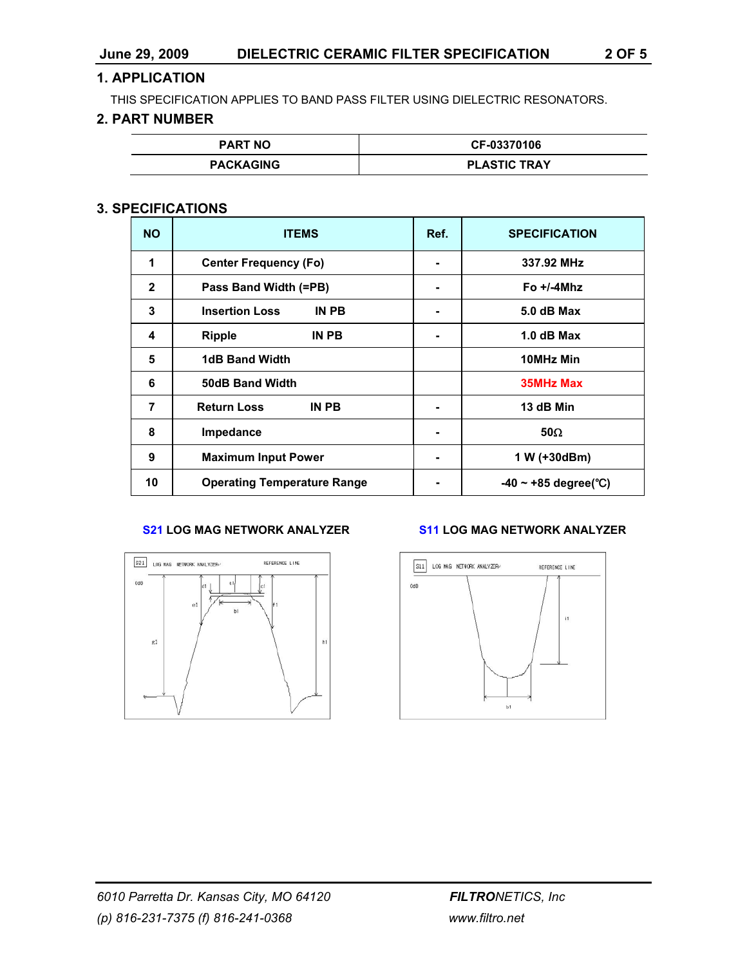## **1. APPLICATION**

THIS SPECIFICATION APPLIES TO BAND PASS FILTER USING DIELECTRIC RESONATORS.

## **2. PART NUMBER**

| <b>PART NO</b>   | CF-03370106         |
|------------------|---------------------|
| <b>PACKAGING</b> | <b>PLASTIC TRAY</b> |

## **3. SPECIFICATIONS**

| <b>NO</b>      | <b>ITEMS</b>                       | Ref. | <b>SPECIFICATION</b>      |  |
|----------------|------------------------------------|------|---------------------------|--|
| 1              | <b>Center Frequency (Fo)</b>       |      | 337.92 MHz                |  |
| $\mathbf{2}$   | Pass Band Width (=PB)              |      | Fo $+/-4$ Mhz             |  |
| 3              | <b>Insertion Loss</b><br>IN PB     | ٠    | 5.0 dB Max                |  |
| 4              | <b>Ripple</b><br>IN PB             | ٠    | $1.0$ dB Max              |  |
| 5              | <b>1dB Band Width</b>              |      | 10MHz Min                 |  |
| 6              | <b>50dB Band Width</b>             |      | <b>35MHz Max</b>          |  |
| $\overline{7}$ | <b>Return Loss</b><br>IN PB        |      | 13 dB Min                 |  |
| 8              | <b>Impedance</b>                   | ٠    | 50 $\Omega$               |  |
| 9              | <b>Maximum Input Power</b>         | ٠    | 1 W (+30dBm)              |  |
| 10             | <b>Operating Temperature Range</b> |      | $-40 \sim +85$ degree(°C) |  |



#### **S21 LOG MAG NETWORK ANALYZER S11 LOG MAG NETWORK ANALYZER**

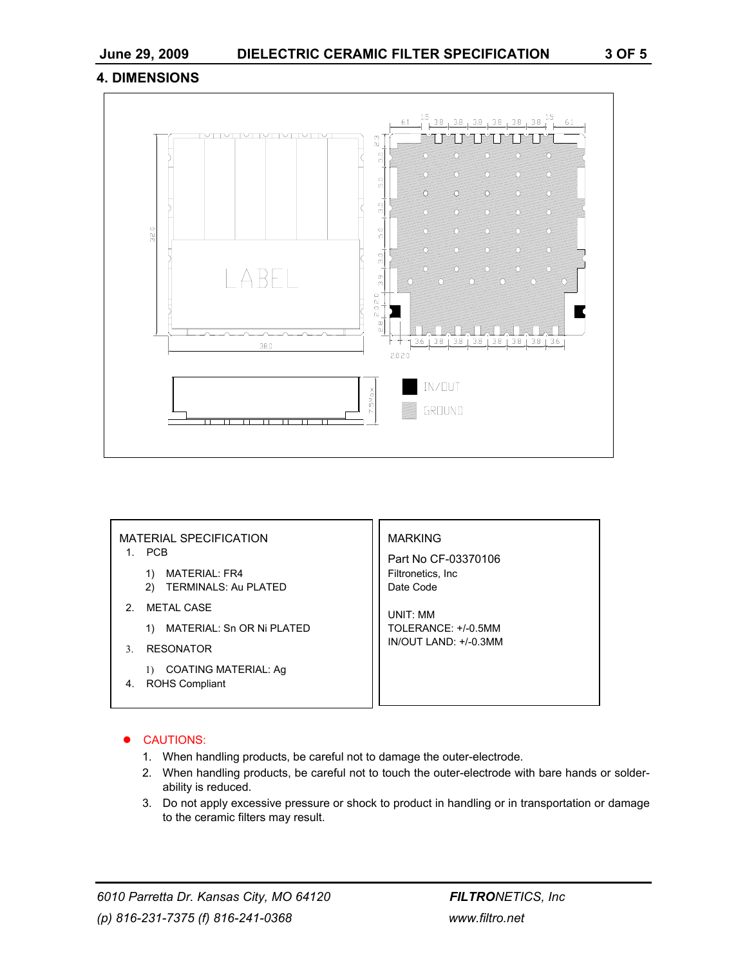### **4. DIMENSIONS**



| <b>MATERIAL SPECIFICATION</b><br><b>PCB</b>                             | <b>MARKING</b><br>Part No CF-03370106 |  |
|-------------------------------------------------------------------------|---------------------------------------|--|
| <b>MATERIAL: FR4</b><br><b>TERMINALS: Au PLATED</b><br>2)               | Filtronetics, Inc.<br>Date Code       |  |
| <b>METAL CASE</b><br>2                                                  | UNIT: MM                              |  |
| MATERIAL: Sn OR Ni PLATED<br>1)                                         | TOLERANCE: +/-0.5MM                   |  |
| <b>RESONATOR</b><br>$\mathcal{F}$                                       | IN/OUT LAND: +/-0.3MM                 |  |
| COATING MATERIAL: Ag<br>$\left( \right)$<br><b>ROHS Compliant</b><br>4. |                                       |  |

#### **CAUTIONS:**

- 1. When handling products, be careful not to damage the outer-electrode.
- 2. When handling products, be careful not to touch the outer-electrode with bare hands or solderability is reduced.
- 3. Do not apply excessive pressure or shock to product in handling or in transportation or damage to the ceramic filters may result.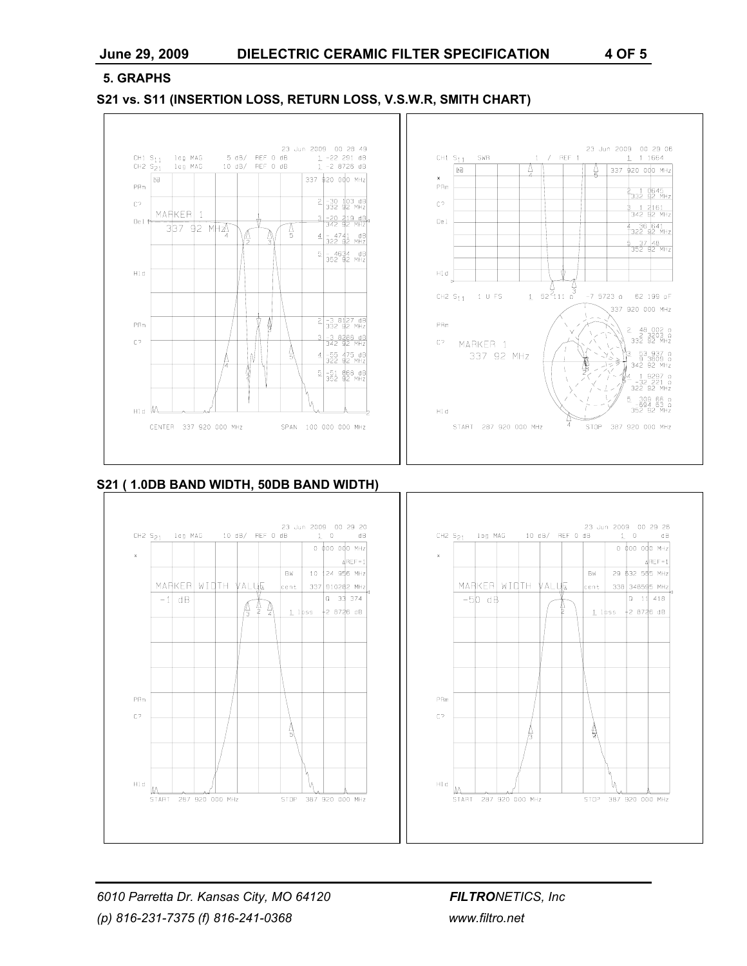#### **5. GRAPHS**

#### **S21 vs. S11 (INSERTION LOSS, RETURN LOSS, V.S.W.R, SMITH CHART)**